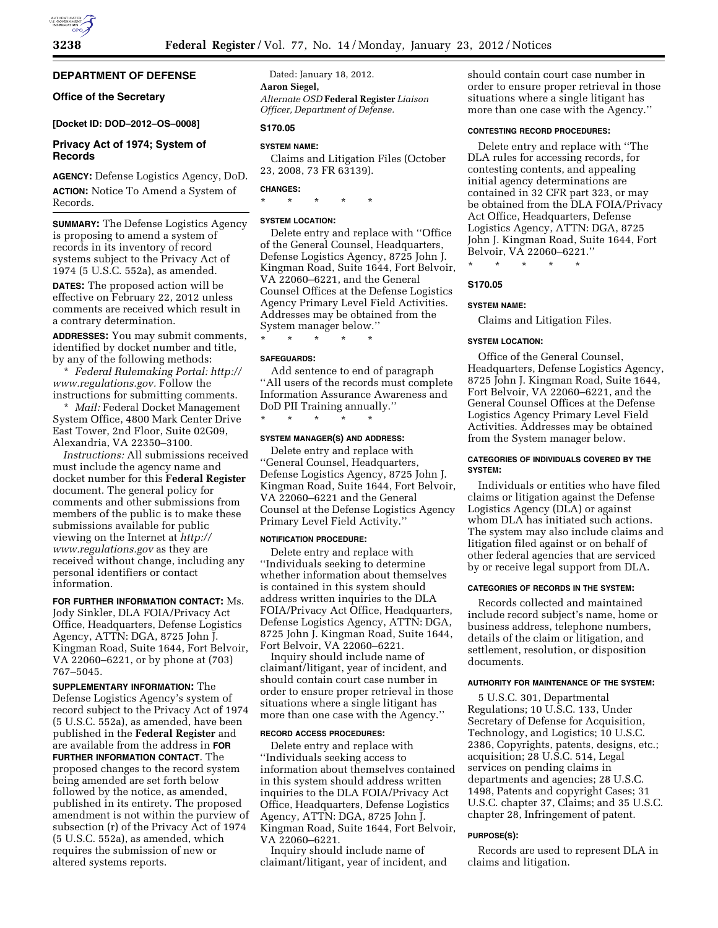## **DEPARTMENT OF DEFENSE**

# **Office of the Secretary**

## **[Docket ID: DOD–2012–OS–0008]**

## **Privacy Act of 1974; System of Records**

**AGENCY:** Defense Logistics Agency, DoD. **ACTION:** Notice To Amend a System of Records.

**SUMMARY:** The Defense Logistics Agency is proposing to amend a system of records in its inventory of record systems subject to the Privacy Act of 1974 (5 U.S.C. 552a), as amended.

**DATES:** The proposed action will be effective on February 22, 2012 unless comments are received which result in a contrary determination.

**ADDRESSES:** You may submit comments, identified by docket number and title, by any of the following methods:

\* *Federal Rulemaking Portal: [http://](http://www.regulations.gov) [www.regulations.gov.](http://www.regulations.gov)* Follow the instructions for submitting comments.

\* *Mail:* Federal Docket Management System Office, 4800 Mark Center Drive East Tower, 2nd Floor, Suite 02G09, Alexandria, VA 22350–3100.

*Instructions:* All submissions received must include the agency name and docket number for this **Federal Register**  document. The general policy for comments and other submissions from members of the public is to make these submissions available for public viewing on the Internet at *[http://](http://www.regulations.gov) [www.regulations.gov](http://www.regulations.gov)* as they are received without change, including any personal identifiers or contact information.

**FOR FURTHER INFORMATION CONTACT:** Ms. Jody Sinkler, DLA FOIA/Privacy Act Office, Headquarters, Defense Logistics Agency, ATTN: DGA, 8725 John J. Kingman Road, Suite 1644, Fort Belvoir, VA 22060–6221, or by phone at (703) 767–5045.

**SUPPLEMENTARY INFORMATION:** The Defense Logistics Agency's system of record subject to the Privacy Act of 1974 (5 U.S.C. 552a), as amended, have been published in the **Federal Register** and are available from the address in **FOR FURTHER INFORMATION CONTACT**. The proposed changes to the record system being amended are set forth below followed by the notice, as amended, published in its entirety. The proposed amendment is not within the purview of subsection (r) of the Privacy Act of 1974 (5 U.S.C. 552a), as amended, which requires the submission of new or altered systems reports.

Dated: January 18, 2012. **Aaron Siegel,**  *Alternate OSD* **Federal Register** *Liaison Officer, Department of Defense.* 

# **S170.05**

# **SYSTEM NAME:**

Claims and Litigation Files (October 23, 2008, 73 FR 63139).

# **CHANGES:**

\* \* \* \* \*

## **SYSTEM LOCATION:**

Delete entry and replace with ''Office of the General Counsel, Headquarters, Defense Logistics Agency, 8725 John J. Kingman Road, Suite 1644, Fort Belvoir, VA 22060–6221, and the General Counsel Offices at the Defense Logistics Agency Primary Level Field Activities. Addresses may be obtained from the System manager below.''

\* \* \* \* \*

### **SAFEGUARDS:**

Add sentence to end of paragraph ''All users of the records must complete Information Assurance Awareness and DoD PII Training annually.'' \* \* \* \* \*

#### **SYSTEM MANAGER(S) AND ADDRESS:**

Delete entry and replace with ''General Counsel, Headquarters, Defense Logistics Agency, 8725 John J. Kingman Road, Suite 1644, Fort Belvoir, VA 22060–6221 and the General Counsel at the Defense Logistics Agency Primary Level Field Activity.''

### **NOTIFICATION PROCEDURE:**

Delete entry and replace with ''Individuals seeking to determine whether information about themselves is contained in this system should address written inquiries to the DLA FOIA/Privacy Act Office, Headquarters, Defense Logistics Agency, ATTN: DGA, 8725 John J. Kingman Road, Suite 1644, Fort Belvoir, VA 22060–6221.

Inquiry should include name of claimant/litigant, year of incident, and should contain court case number in order to ensure proper retrieval in those situations where a single litigant has more than one case with the Agency.''

## **RECORD ACCESS PROCEDURES:**

Delete entry and replace with ''Individuals seeking access to information about themselves contained in this system should address written inquiries to the DLA FOIA/Privacy Act Office, Headquarters, Defense Logistics Agency, ATTN: DGA, 8725 John J. Kingman Road, Suite 1644, Fort Belvoir, VA 22060–6221.

Inquiry should include name of claimant/litigant, year of incident, and should contain court case number in order to ensure proper retrieval in those situations where a single litigant has more than one case with the Agency.''

#### **CONTESTING RECORD PROCEDURES:**

Delete entry and replace with ''The DLA rules for accessing records, for contesting contents, and appealing initial agency determinations are contained in 32 CFR part 323, or may be obtained from the DLA FOIA/Privacy Act Office, Headquarters, Defense Logistics Agency, ATTN: DGA, 8725 John J. Kingman Road, Suite 1644, Fort Belvoir, VA 22060–6221.''

\* \* \* \* \*

# **S170.05**

### **SYSTEM NAME:**

Claims and Litigation Files.

## **SYSTEM LOCATION:**

Office of the General Counsel, Headquarters, Defense Logistics Agency, 8725 John J. Kingman Road, Suite 1644, Fort Belvoir, VA 22060–6221, and the General Counsel Offices at the Defense Logistics Agency Primary Level Field Activities. Addresses may be obtained from the System manager below.

## **CATEGORIES OF INDIVIDUALS COVERED BY THE SYSTEM:**

Individuals or entities who have filed claims or litigation against the Defense Logistics Agency (DLA) or against whom DLA has initiated such actions. The system may also include claims and litigation filed against or on behalf of other federal agencies that are serviced by or receive legal support from DLA.

### **CATEGORIES OF RECORDS IN THE SYSTEM:**

Records collected and maintained include record subject's name, home or business address, telephone numbers, details of the claim or litigation, and settlement, resolution, or disposition documents.

#### **AUTHORITY FOR MAINTENANCE OF THE SYSTEM:**

5 U.S.C. 301, Departmental Regulations; 10 U.S.C. 133, Under Secretary of Defense for Acquisition, Technology, and Logistics; 10 U.S.C. 2386, Copyrights, patents, designs, etc.; acquisition; 28 U.S.C. 514, Legal services on pending claims in departments and agencies; 28 U.S.C. 1498, Patents and copyright Cases; 31 U.S.C. chapter 37, Claims; and 35 U.S.C. chapter 28, Infringement of patent.

## **PURPOSE(S):**

Records are used to represent DLA in claims and litigation.